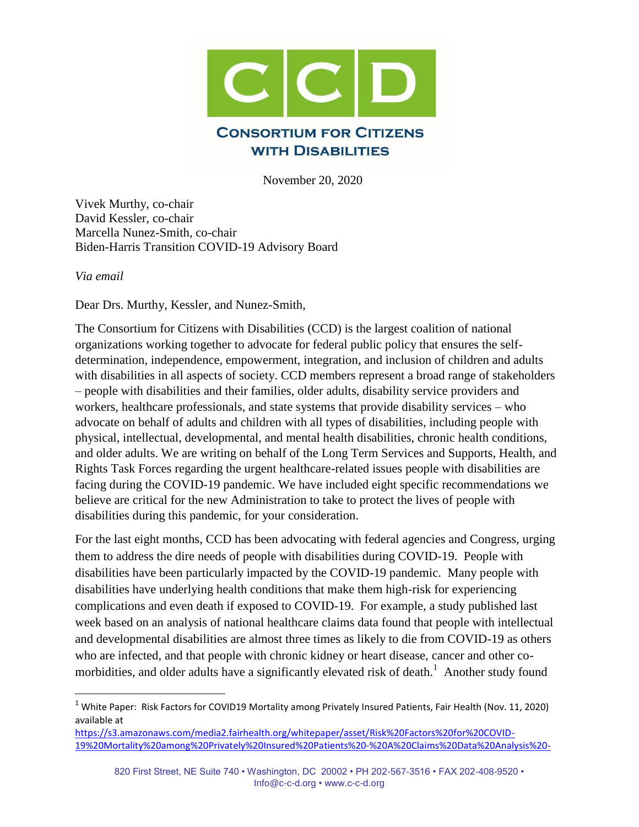

November 20, 2020

Vivek Murthy, co-chair David Kessler, co-chair Marcella Nunez-Smith, co-chair Biden-Harris Transition COVID-19 Advisory Board

*Via email*

 $\overline{\phantom{a}}$ 

Dear Drs. Murthy, Kessler, and Nunez-Smith,

The Consortium for Citizens with Disabilities (CCD) is the largest coalition of national organizations working together to advocate for federal public policy that ensures the selfdetermination, independence, empowerment, integration, and inclusion of children and adults with disabilities in all aspects of society. CCD members represent a broad range of stakeholders – people with disabilities and their families, older adults, disability service providers and workers, healthcare professionals, and state systems that provide disability services – who advocate on behalf of adults and children with all types of disabilities, including people with physical, intellectual, developmental, and mental health disabilities, chronic health conditions, and older adults. We are writing on behalf of the Long Term Services and Supports, Health, and Rights Task Forces regarding the urgent healthcare-related issues people with disabilities are facing during the COVID-19 pandemic. We have included eight specific recommendations we believe are critical for the new Administration to take to protect the lives of people with disabilities during this pandemic, for your consideration.

For the last eight months, CCD has been advocating with federal agencies and Congress, urging them to address the dire needs of people with disabilities during COVID-19. People with disabilities have been particularly impacted by the COVID-19 pandemic. Many people with disabilities have underlying health conditions that make them high-risk for experiencing complications and even death if exposed to COVID-19. For example, a study published last week based on an analysis of national healthcare claims data found that people with intellectual and developmental disabilities are almost three times as likely to die from COVID-19 as others who are infected, and that people with chronic kidney or heart disease, cancer and other comorbidities, and older adults have a significantly elevated risk of death.<sup>1</sup> Another study found

<sup>&</sup>lt;sup>1</sup> White Paper: Risk Factors for COVID19 Mortality among Privately Insured Patients, Fair Health (Nov. 11, 2020) available at

[https://s3.amazonaws.com/media2.fairhealth.org/whitepaper/asset/Risk%20Factors%20for%20COVID-](https://s3.amazonaws.com/media2.fairhealth.org/whitepaper/asset/Risk%20Factors%20for%20COVID-19%20Mortality%20among%20Privately%20Insured%20Patients%20-%20A%20Claims%20Data%20Analysis%20-%20A%20FAIR%20Health%20White%20Paper.pdf)[19%20Mortality%20among%20Privately%20Insured%20Patients%20-%20A%20Claims%20Data%20Analysis%20-](https://s3.amazonaws.com/media2.fairhealth.org/whitepaper/asset/Risk%20Factors%20for%20COVID-19%20Mortality%20among%20Privately%20Insured%20Patients%20-%20A%20Claims%20Data%20Analysis%20-%20A%20FAIR%20Health%20White%20Paper.pdf)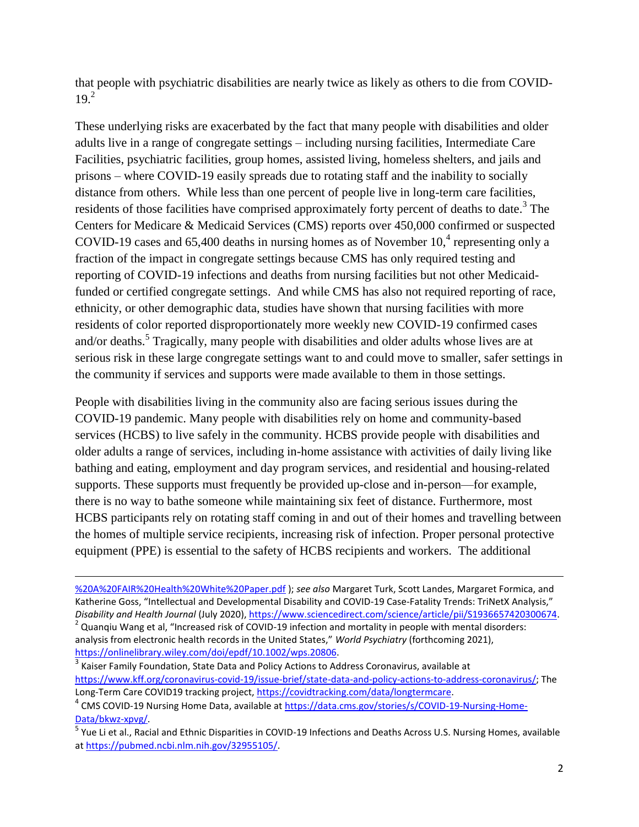that people with psychiatric disabilities are nearly twice as likely as others to die from COVID- $19<sup>2</sup>$ 

These underlying risks are exacerbated by the fact that many people with disabilities and older adults live in a range of congregate settings – including nursing facilities, Intermediate Care Facilities, psychiatric facilities, group homes, assisted living, homeless shelters, and jails and prisons – where COVID-19 easily spreads due to rotating staff and the inability to socially distance from others. While less than one percent of people live in long-term care facilities, residents of those facilities have comprised approximately forty percent of deaths to date.<sup>3</sup> The Centers for Medicare & Medicaid Services (CMS) reports over 450,000 confirmed or suspected COVID-19 cases and 65,400 deaths in nursing homes as of November  $10<sup>4</sup>$  representing only a fraction of the impact in congregate settings because CMS has only required testing and reporting of COVID-19 infections and deaths from nursing facilities but not other Medicaidfunded or certified congregate settings. And while CMS has also not required reporting of race, ethnicity, or other demographic data, studies have shown that nursing facilities with more residents of color reported disproportionately more weekly new COVID-19 confirmed cases and/or deaths.<sup>5</sup> Tragically, many people with disabilities and older adults whose lives are at serious risk in these large congregate settings want to and could move to smaller, safer settings in the community if services and supports were made available to them in those settings.

People with disabilities living in the community also are facing serious issues during the COVID-19 pandemic. Many people with disabilities rely on home and community-based services (HCBS) to live safely in the community. HCBS provide people with disabilities and older adults a range of services, including in-home assistance with activities of daily living like bathing and eating, employment and day program services, and residential and housing-related supports. These supports must frequently be provided up-close and in-person—for example, there is no way to bathe someone while maintaining six feet of distance. Furthermore, most HCBS participants rely on rotating staff coming in and out of their homes and travelling between the homes of multiple service recipients, increasing risk of infection. Proper personal protective equipment (PPE) is essential to the safety of HCBS recipients and workers. The additional

l

 $3$  Kaiser Family Foundation, State Data and Policy Actions to Address Coronavirus, available at [https://www.kff.org/coronavirus-covid-19/issue-brief/state-data-and-policy-actions-to-address-coronavirus/;](https://www.kff.org/coronavirus-covid-19/issue-brief/state-data-and-policy-actions-to-address-coronavirus/) The Long-Term Care COVID19 tracking project, [https://covidtracking.com/data/longtermcare.](https://covidtracking.com/data/longtermcare)

[<sup>%20</sup>A%20FAIR%20Health%20White%20Paper.pdf](https://s3.amazonaws.com/media2.fairhealth.org/whitepaper/asset/Risk%20Factors%20for%20COVID-19%20Mortality%20among%20Privately%20Insured%20Patients%20-%20A%20Claims%20Data%20Analysis%20-%20A%20FAIR%20Health%20White%20Paper.pdf) ); *see also* Margaret Turk, Scott Landes, Margaret Formica, and Katherine Goss, "Intellectual and Developmental Disability and COVID-19 Case-Fatality Trends: TriNetX Analysis," *Disability and Health Journal* (July 2020), [https://www.sciencedirect.com/science/article/pii/S1936657420300674.](https://www.sciencedirect.com/science/article/pii/S1936657420300674)

 $^2$  Quanqiu Wang et al, "Increased risk of COVID-19 infection and mortality in people with mental disorders: analysis from electronic health records in the United States," *World Psychiatry* (forthcoming 2021), [https://onlinelibrary.wiley.com/doi/epdf/10.1002/wps.20806.](https://onlinelibrary.wiley.com/doi/epdf/10.1002/wps.20806)

<sup>&</sup>lt;sup>4</sup> CMS COVID-19 Nursing Home Data, available at [https://data.cms.gov/stories/s/COVID-19-Nursing-Home-](https://data.cms.gov/stories/s/COVID-19-Nursing-Home-Data/bkwz-xpvg/)[Data/bkwz-xpvg/.](https://data.cms.gov/stories/s/COVID-19-Nursing-Home-Data/bkwz-xpvg/)

<sup>&</sup>lt;sup>5</sup> Yue Li et al., Racial and Ethnic Disparities in COVID-19 Infections and Deaths Across U.S. Nursing Homes, available a[t https://pubmed.ncbi.nlm.nih.gov/32955105/.](https://pubmed.ncbi.nlm.nih.gov/32955105/)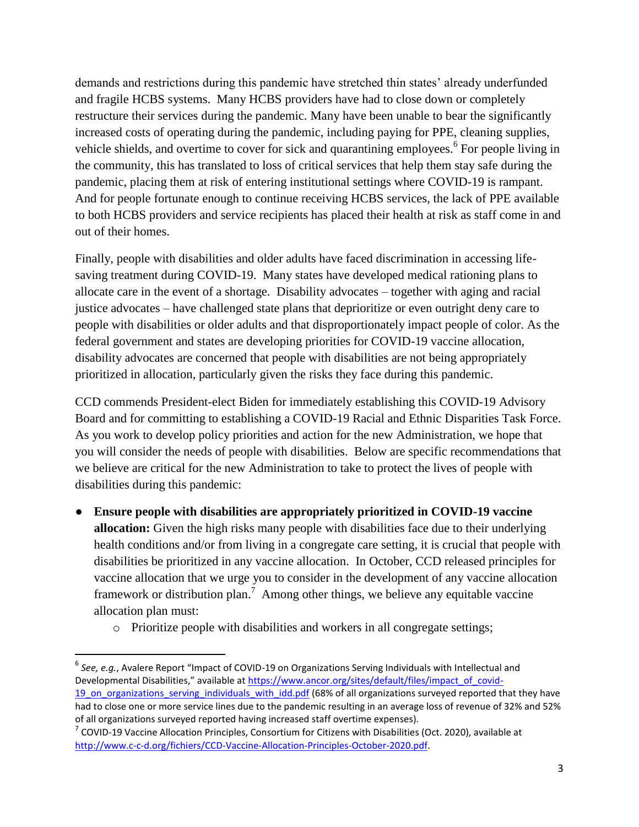demands and restrictions during this pandemic have stretched thin states' already underfunded and fragile HCBS systems. Many HCBS providers have had to close down or completely restructure their services during the pandemic. Many have been unable to bear the significantly increased costs of operating during the pandemic, including paying for PPE, cleaning supplies, vehicle shields, and overtime to cover for sick and quarantining employees.<sup>6</sup> For people living in the community, this has translated to loss of critical services that help them stay safe during the pandemic, placing them at risk of entering institutional settings where COVID-19 is rampant. And for people fortunate enough to continue receiving HCBS services, the lack of PPE available to both HCBS providers and service recipients has placed their health at risk as staff come in and out of their homes.

Finally, people with disabilities and older adults have faced discrimination in accessing lifesaving treatment during COVID-19. Many states have developed medical rationing plans to allocate care in the event of a shortage. Disability advocates – together with aging and racial justice advocates – have challenged state plans that deprioritize or even outright deny care to people with disabilities or older adults and that disproportionately impact people of color. As the federal government and states are developing priorities for COVID-19 vaccine allocation, disability advocates are concerned that people with disabilities are not being appropriately prioritized in allocation, particularly given the risks they face during this pandemic.

CCD commends President-elect Biden for immediately establishing this COVID-19 Advisory Board and for committing to establishing a COVID-19 Racial and Ethnic Disparities Task Force. As you work to develop policy priorities and action for the new Administration, we hope that you will consider the needs of people with disabilities. Below are specific recommendations that we believe are critical for the new Administration to take to protect the lives of people with disabilities during this pandemic:

- **● Ensure people with disabilities are appropriately prioritized in COVID-19 vaccine allocation:** Given the high risks many people with disabilities face due to their underlying health conditions and/or from living in a congregate care setting, it is crucial that people with disabilities be prioritized in any vaccine allocation. In October, CCD released principles for vaccine allocation that we urge you to consider in the development of any vaccine allocation framework or distribution plan.<sup>7</sup> Among other things, we believe any equitable vaccine allocation plan must:
	- o Prioritize people with disabilities and workers in all congregate settings;

 $\overline{a}$ 

<sup>&</sup>lt;sup>6</sup> See, e.g., Avalere Report "Impact of COVID-19 on Organizations Serving Individuals with Intellectual and Developmental Disabilities," available at [https://www.ancor.org/sites/default/files/impact\\_of\\_covid-](https://www.ancor.org/sites/default/files/impact_of_covid-19_on_organizations_serving_individuals_with_idd.pdf)19 on organizations serving individuals with idd.pdf (68% of all organizations surveyed reported that they have

had to close one or more service lines due to the pandemic resulting in an average loss of revenue of 32% and 52% of all organizations surveyed reported having increased staff overtime expenses).

 $^7$  COVID-19 Vaccine Allocation Principles, Consortium for Citizens with Disabilities (Oct. 2020), available at [http://www.c-c-d.org/fichiers/CCD-Vaccine-Allocation-Principles-October-2020.pdf.](http://www.c-c-d.org/fichiers/CCD-Vaccine-Allocation-Principles-October-2020.pdf)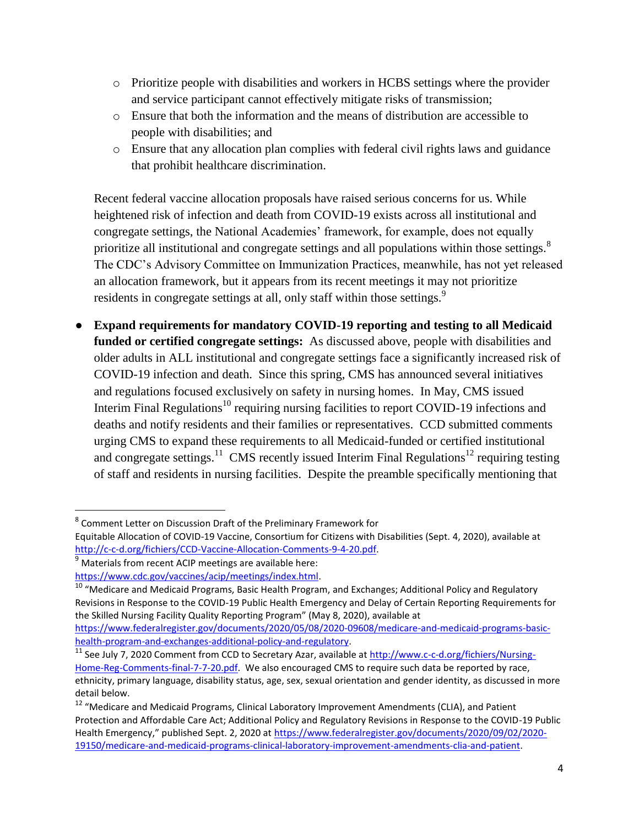- o Prioritize people with disabilities and workers in HCBS settings where the provider and service participant cannot effectively mitigate risks of transmission;
- o Ensure that both the information and the means of distribution are accessible to people with disabilities; and
- o Ensure that any allocation plan complies with federal civil rights laws and guidance that prohibit healthcare discrimination.

Recent federal vaccine allocation proposals have raised serious concerns for us. While heightened risk of infection and death from COVID-19 exists across all institutional and congregate settings, the National Academies' framework, for example, does not equally prioritize all institutional and congregate settings and all populations within those settings. $8$ The CDC's Advisory Committee on Immunization Practices, meanwhile, has not yet released an allocation framework, but it appears from its recent meetings it may not prioritize residents in congregate settings at all, only staff within those settings.<sup>9</sup>

**● Expand requirements for mandatory COVID-19 reporting and testing to all Medicaid funded or certified congregate settings:** As discussed above, people with disabilities and older adults in ALL institutional and congregate settings face a significantly increased risk of COVID-19 infection and death. Since this spring, CMS has announced several initiatives and regulations focused exclusively on safety in nursing homes. In May, CMS issued Interim Final Regulations<sup>10</sup> requiring nursing facilities to report COVID-19 infections and deaths and notify residents and their families or representatives. CCD submitted comments urging CMS to expand these requirements to all Medicaid-funded or certified institutional and congregate settings.<sup>11</sup> CMS recently issued Interim Final Regulations<sup>12</sup> requiring testing of staff and residents in nursing facilities. Despite the preamble specifically mentioning that

 $\overline{\phantom{a}}$ 

<sup>&</sup>lt;sup>8</sup> Comment Letter on Discussion Draft of the Preliminary Framework for

Equitable Allocation of COVID-19 Vaccine, Consortium for Citizens with Disabilities (Sept. 4, 2020), available at [http://c-c-d.org/fichiers/CCD-Vaccine-Allocation-Comments-9-4-20.pdf.](http://c-c-d.org/fichiers/CCD-Vaccine-Allocation-Comments-9-4-20.pdf)

 $9$  Materials from recent ACIP meetings are available here:

[https://www.cdc.gov/vaccines/acip/meetings/index.html.](https://www.cdc.gov/vaccines/acip/meetings/index.html) 

<sup>&</sup>lt;sup>10</sup> "Medicare and Medicaid Programs, Basic Health Program, and Exchanges; Additional Policy and Regulatory Revisions in Response to the COVID-19 Public Health Emergency and Delay of Certain Reporting Requirements for the Skilled Nursing Facility Quality Reporting Program" (May 8, 2020), available at

[https://www.federalregister.gov/documents/2020/05/08/2020-09608/medicare-and-medicaid-programs-basic](https://www.federalregister.gov/documents/2020/05/08/2020-09608/medicare-and-medicaid-programs-basic-health-program-and-exchanges-additional-policy-and-regulatory)[health-program-and-exchanges-additional-policy-and-regulatory.](https://www.federalregister.gov/documents/2020/05/08/2020-09608/medicare-and-medicaid-programs-basic-health-program-and-exchanges-additional-policy-and-regulatory)

<sup>&</sup>lt;sup>11</sup> See July 7, 2020 Comment from CCD to Secretary Azar, available at [http://www.c-c-d.org/fichiers/Nursing-](http://www.c-c-d.org/fichiers/Nursing-Home-Reg-Comments-final-7-7-20.pdf)[Home-Reg-Comments-final-7-7-20.pdf.](http://www.c-c-d.org/fichiers/Nursing-Home-Reg-Comments-final-7-7-20.pdf) We also encouraged CMS to require such data be reported by race, ethnicity, primary language, disability status, age, sex, sexual orientation and gender identity, as discussed in more detail below.

<sup>&</sup>lt;sup>12</sup> "Medicare and Medicaid Programs, Clinical Laboratory Improvement Amendments (CLIA), and Patient Protection and Affordable Care Act; Additional Policy and Regulatory Revisions in Response to the COVID-19 Public Health Emergency," published Sept. 2, 2020 at [https://www.federalregister.gov/documents/2020/09/02/2020-](https://www.federalregister.gov/documents/2020/09/02/2020-19150/medicare-and-medicaid-programs-clinical-laboratory-improvement-amendments-clia-and-patient) [19150/medicare-and-medicaid-programs-clinical-laboratory-improvement-amendments-clia-and-patient.](https://www.federalregister.gov/documents/2020/09/02/2020-19150/medicare-and-medicaid-programs-clinical-laboratory-improvement-amendments-clia-and-patient)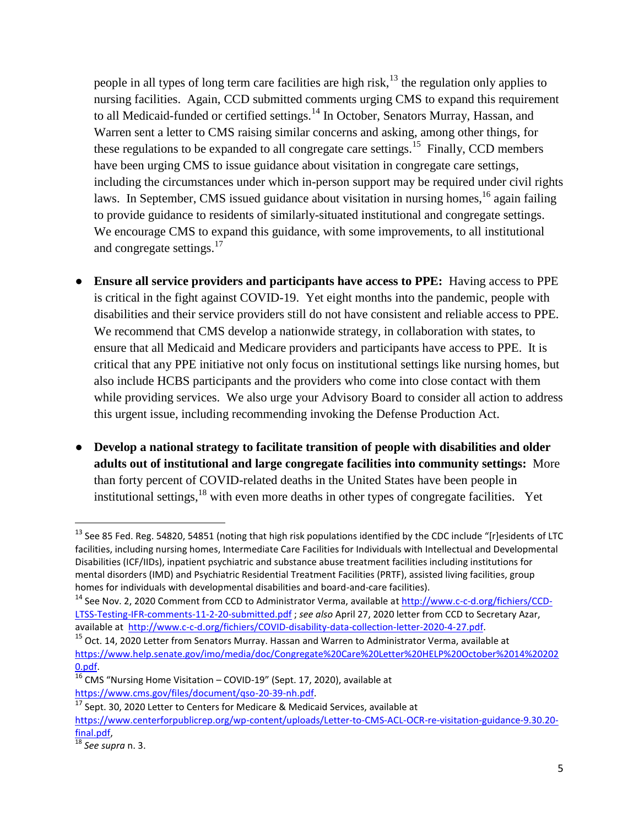people in all types of long term care facilities are high risk,<sup>13</sup> the regulation only applies to nursing facilities. Again, CCD submitted comments urging CMS to expand this requirement to all Medicaid-funded or certified settings.<sup>14</sup> In October, Senators Murray, Hassan, and Warren sent a letter to CMS raising similar concerns and asking, among other things, for these regulations to be expanded to all congregate care settings.<sup>15</sup> Finally, CCD members have been urging CMS to issue guidance about visitation in congregate care settings, including the circumstances under which in-person support may be required under civil rights laws. In September, CMS issued guidance about visitation in nursing homes, <sup>16</sup> again failing to provide guidance to residents of similarly-situated institutional and congregate settings. We encourage CMS to expand this guidance, with some improvements, to all institutional and congregate settings.<sup>17</sup>

- **Ensure all service providers and participants have access to PPE:** Having access to PPE is critical in the fight against COVID-19. Yet eight months into the pandemic, people with disabilities and their service providers still do not have consistent and reliable access to PPE. We recommend that CMS develop a nationwide strategy, in collaboration with states, to ensure that all Medicaid and Medicare providers and participants have access to PPE. It is critical that any PPE initiative not only focus on institutional settings like nursing homes, but also include HCBS participants and the providers who come into close contact with them while providing services. We also urge your Advisory Board to consider all action to address this urgent issue, including recommending invoking the Defense Production Act.
- **● Develop a national strategy to facilitate transition of people with disabilities and older adults out of institutional and large congregate facilities into community settings:** More than forty percent of COVID-related deaths in the United States have been people in institutional settings, $^{18}$  with even more deaths in other types of congregate facilities. Yet

 $\overline{\phantom{a}}$ 

<sup>&</sup>lt;sup>13</sup> See 85 Fed. Reg. 54820, 54851 (noting that high risk populations identified by the CDC include "[r]esidents of LTC facilities, including nursing homes, Intermediate Care Facilities for Individuals with Intellectual and Developmental Disabilities (ICF/IIDs), inpatient psychiatric and substance abuse treatment facilities including institutions for mental disorders (IMD) and Psychiatric Residential Treatment Facilities (PRTF), assisted living facilities, group homes for individuals with developmental disabilities and board-and-care facilities).

<sup>&</sup>lt;sup>14</sup> See Nov. 2, 2020 Comment from CCD to Administrator Verma, available at [http://www.c-c-d.org/fichiers/CCD-](http://www.c-c-d.org/fichiers/CCD-LTSS-Testing-IFR-comments-11-2-20-submitted.pdf)[LTSS-Testing-IFR-comments-11-2-20-submitted.pdf](http://www.c-c-d.org/fichiers/CCD-LTSS-Testing-IFR-comments-11-2-20-submitted.pdf) ; *see also* April 27, 2020 letter from CCD to Secretary Azar, available at [http://www.c-c-d.org/fichiers/COVID-disability-data-collection-letter-2020-4-27.pdf.](http://www.c-c-d.org/fichiers/COVID-disability-data-collection-letter-2020-4-27.pdf)

<sup>&</sup>lt;sup>15</sup> Oct. 14, 2020 Letter from Senators Murray. Hassan and Warren to Administrator Verma, available at [https://www.help.senate.gov/imo/media/doc/Congregate%20Care%20Letter%20HELP%20October%2014%20202](https://www.help.senate.gov/imo/media/doc/Congregate%20Care%20Letter%20HELP%20October%2014%202020.pdf) [0.pdf.](https://www.help.senate.gov/imo/media/doc/Congregate%20Care%20Letter%20HELP%20October%2014%202020.pdf)

 $16$  CMS "Nursing Home Visitation – COVID-19" (Sept. 17, 2020), available at [https://www.cms.gov/files/document/qso-20-39-nh.pdf.](https://www.cms.gov/files/document/qso-20-39-nh.pdf)

 $17$  Sept. 30, 2020 Letter to Centers for Medicare & Medicaid Services, available at [https://www.centerforpublicrep.org/wp-content/uploads/Letter-to-CMS-ACL-OCR-re-visitation-guidance-9.30.20](https://www.centerforpublicrep.org/wp-content/uploads/Letter-to-CMS-ACL-OCR-re-visitation-guidance-9.30.20-final.pdf) [final.pdf,](https://www.centerforpublicrep.org/wp-content/uploads/Letter-to-CMS-ACL-OCR-re-visitation-guidance-9.30.20-final.pdf)

<sup>18</sup> *See supra* n. 3.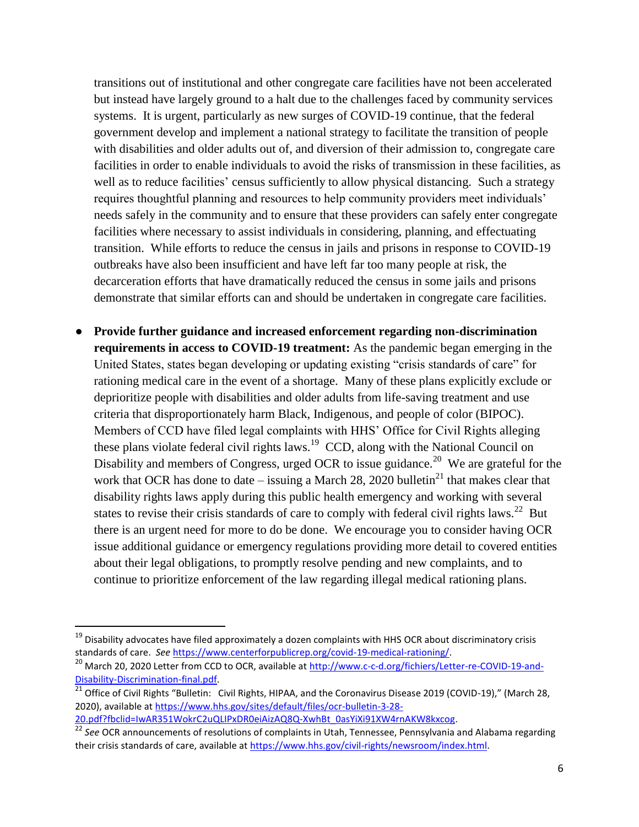transitions out of institutional and other congregate care facilities have not been accelerated but instead have largely ground to a halt due to the challenges faced by community services systems. It is urgent, particularly as new surges of COVID-19 continue, that the federal government develop and implement a national strategy to facilitate the transition of people with disabilities and older adults out of, and diversion of their admission to, congregate care facilities in order to enable individuals to avoid the risks of transmission in these facilities, as well as to reduce facilities' census sufficiently to allow physical distancing. Such a strategy requires thoughtful planning and resources to help community providers meet individuals' needs safely in the community and to ensure that these providers can safely enter congregate facilities where necessary to assist individuals in considering, planning, and effectuating transition. While efforts to reduce the census in jails and prisons in response to COVID-19 outbreaks have also been insufficient and have left far too many people at risk, the decarceration efforts that have dramatically reduced the census in some jails and prisons demonstrate that similar efforts can and should be undertaken in congregate care facilities.

**● Provide further guidance and increased enforcement regarding non-discrimination requirements in access to COVID-19 treatment:** As the pandemic began emerging in the United States, states began developing or updating existing "crisis standards of care" for rationing medical care in the event of a shortage. Many of these plans explicitly exclude or deprioritize people with disabilities and older adults from life-saving treatment and use criteria that disproportionately harm Black, Indigenous, and people of color (BIPOC). Members of CCD have filed legal complaints with HHS' Office for Civil Rights alleging these plans violate federal civil rights laws.<sup>19</sup> CCD, along with the National Council on Disability and members of Congress, urged OCR to issue guidance.<sup>20</sup> We are grateful for the work that OCR has done to date – issuing a March 28, 2020 bulletin<sup>21</sup> that makes clear that disability rights laws apply during this public health emergency and working with several states to revise their crisis standards of care to comply with federal civil rights laws.<sup>22</sup> But there is an urgent need for more to do be done. We encourage you to consider having OCR issue additional guidance or emergency regulations providing more detail to covered entities about their legal obligations, to promptly resolve pending and new complaints, and to continue to prioritize enforcement of the law regarding illegal medical rationing plans.

l

<sup>&</sup>lt;sup>19</sup> Disability advocates have filed approximately a dozen complaints with HHS OCR about discriminatory crisis standards of care. *See* [https://www.centerforpublicrep.org/covid-19-medical-rationing/.](https://www.centerforpublicrep.org/covid-19-medical-rationing/)

<sup>&</sup>lt;sup>20</sup> March 20, 2020 Letter from CCD to OCR, available at [http://www.c-c-d.org/fichiers/Letter-re-COVID-19-and-](http://www.c-c-d.org/fichiers/Letter-re-COVID-19-and-Disability-Discrimination-final.pdf)[Disability-Discrimination-final.pdf.](http://www.c-c-d.org/fichiers/Letter-re-COVID-19-and-Disability-Discrimination-final.pdf)

 $^{21}$  Office of Civil Rights "Bulletin: Civil Rights, HIPAA, and the Coronavirus Disease 2019 (COVID-19)," (March 28, 2020), available a[t https://www.hhs.gov/sites/default/files/ocr-bulletin-3-28-](https://www.hhs.gov/sites/default/files/ocr-bulletin-3-28-20.pdf?fbclid=IwAR351WokrC2uQLIPxDR0eiAizAQ8Q-XwhBt_0asYiXi91XW4rnAKW8kxcog) [20.pdf?fbclid=IwAR351WokrC2uQLIPxDR0eiAizAQ8Q-XwhBt\\_0asYiXi91XW4rnAKW8kxcog.](https://www.hhs.gov/sites/default/files/ocr-bulletin-3-28-20.pdf?fbclid=IwAR351WokrC2uQLIPxDR0eiAizAQ8Q-XwhBt_0asYiXi91XW4rnAKW8kxcog) 

<sup>22</sup> *See* OCR announcements of resolutions of complaints in Utah, Tennessee, Pennsylvania and Alabama regarding their crisis standards of care, available at [https://www.hhs.gov/civil-rights/newsroom/index.html.](https://www.hhs.gov/civil-rights/newsroom/index.html)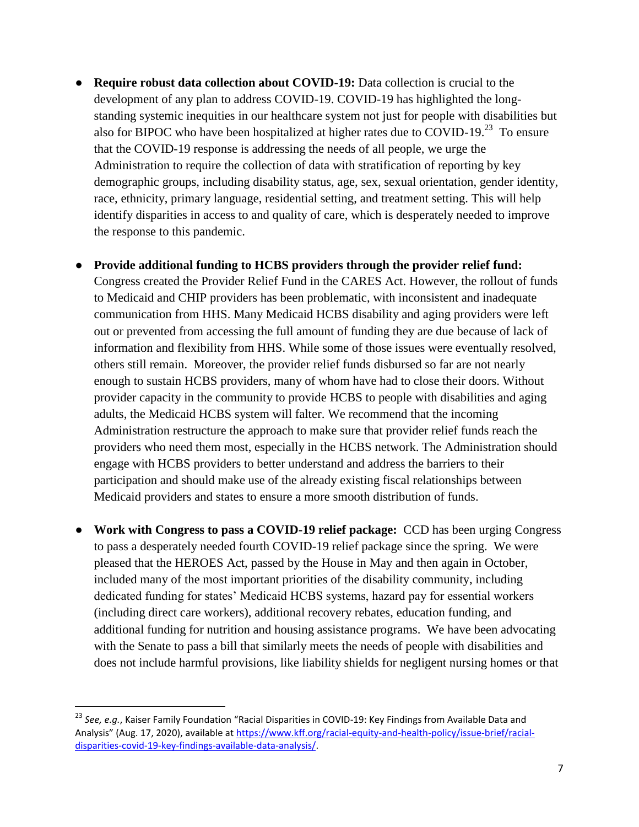**• Require robust data collection about COVID-19:** Data collection is crucial to the development of any plan to address COVID-19. COVID-19 has highlighted the longstanding systemic inequities in our healthcare system not just for people with disabilities but also for BIPOC who have been hospitalized at higher rates due to COVID-19. $^{23}$  To ensure that the COVID-19 response is addressing the needs of all people, we urge the Administration to require the collection of data with stratification of reporting by key demographic groups, including disability status, age, sex, sexual orientation, gender identity, race, ethnicity, primary language, residential setting, and treatment setting. This will help identify disparities in access to and quality of care, which is desperately needed to improve the response to this pandemic.

## **● Provide additional funding to HCBS providers through the provider relief fund:**

Congress created the Provider Relief Fund in the CARES Act. However, the rollout of funds to Medicaid and CHIP providers has been problematic, with inconsistent and inadequate communication from HHS. Many Medicaid HCBS disability and aging providers were left out or prevented from accessing the full amount of funding they are due because of lack of information and flexibility from HHS. While some of those issues were eventually resolved, others still remain. Moreover, the provider relief funds disbursed so far are not nearly enough to sustain HCBS providers, many of whom have had to close their doors. Without provider capacity in the community to provide HCBS to people with disabilities and aging adults, the Medicaid HCBS system will falter. We recommend that the incoming Administration restructure the approach to make sure that provider relief funds reach the providers who need them most, especially in the HCBS network. The Administration should engage with HCBS providers to better understand and address the barriers to their participation and should make use of the already existing fiscal relationships between Medicaid providers and states to ensure a more smooth distribution of funds.

**● Work with Congress to pass a COVID-19 relief package:** CCD has been urging Congress to pass a desperately needed fourth COVID-19 relief package since the spring. We were pleased that the HEROES Act, passed by the House in May and then again in October, included many of the most important priorities of the disability community, including dedicated funding for states' Medicaid HCBS systems, hazard pay for essential workers (including direct care workers), additional recovery rebates, education funding, and additional funding for nutrition and housing assistance programs. We have been advocating with the Senate to pass a bill that similarly meets the needs of people with disabilities and does not include harmful provisions, like liability shields for negligent nursing homes or that

 $\overline{\phantom{a}}$ 

<sup>23</sup> *See, e.g.*, Kaiser Family Foundation "Racial Disparities in COVID-19: Key Findings from Available Data and Analysis" (Aug. 17, 2020), available at [https://www.kff.org/racial-equity-and-health-policy/issue-brief/racial](https://www.kff.org/racial-equity-and-health-policy/issue-brief/racial-disparities-covid-19-key-findings-available-data-analysis/)[disparities-covid-19-key-findings-available-data-analysis/.](https://www.kff.org/racial-equity-and-health-policy/issue-brief/racial-disparities-covid-19-key-findings-available-data-analysis/)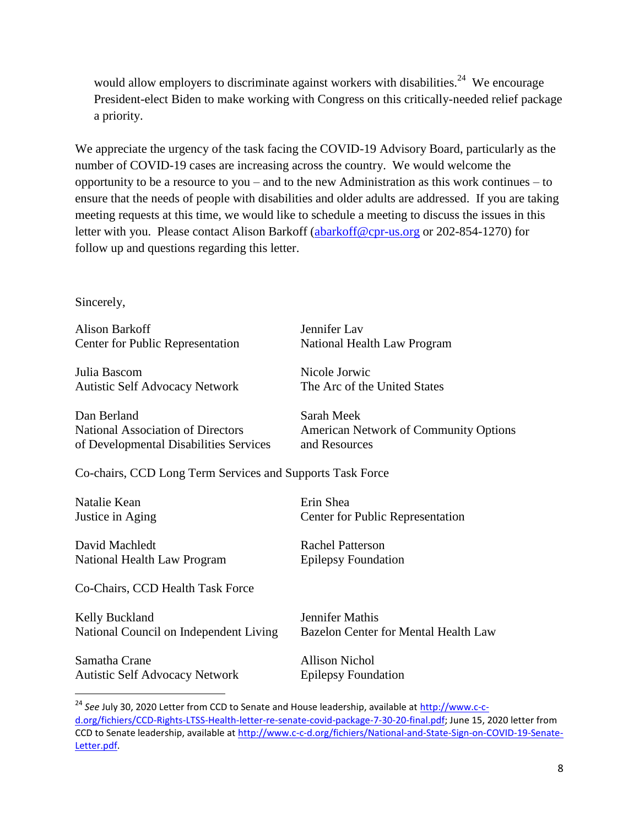would allow employers to discriminate against workers with disabilities.<sup>24</sup> We encourage President-elect Biden to make working with Congress on this critically-needed relief package a priority.

We appreciate the urgency of the task facing the COVID-19 Advisory Board, particularly as the number of COVID-19 cases are increasing across the country. We would welcome the opportunity to be a resource to you – and to the new Administration as this work continues – to ensure that the needs of people with disabilities and older adults are addressed. If you are taking meeting requests at this time, we would like to schedule a meeting to discuss the issues in this letter with you. Please contact Alison Barkoff [\(abarkoff@cpr-us.org](mailto:abarkoff@cpr-us.org) or 202-854-1270) for follow up and questions regarding this letter.

## Sincerely,

Alison Barkoff Jennifer Lav Center for Public Representation National Health Law Program

Julia Bascom Nicole Jorwic Autistic Self Advocacy Network The Arc of the United States

Dan Berland Sarah Meek of Developmental Disabilities Services and Resources

National Association of Directors American Network of Community Options

Co-chairs, CCD Long Term Services and Supports Task Force

Natalie Kean **Executed Executes** Erin Shea

 $\overline{\phantom{a}}$ 

David Machledt Rachel Patterson National Health Law Program Epilepsy Foundation

Co-Chairs, CCD Health Task Force

Kelly Buckland Jennifer Mathis National Council on Independent Living Bazelon Center for Mental Health Law

Samatha Crane Allison Nichol Autistic Self Advocacy Network Epilepsy Foundation

Justice in Aging Center for Public Representation

<sup>&</sup>lt;sup>24</sup> See July 30, 2020 Letter from CCD to Senate and House leadership, available at [http://www.c-c](http://www.c-c-d.org/fichiers/CCD-Rights-LTSS-Health-letter-re-senate-covid-package-7-30-20-final.pdf)[d.org/fichiers/CCD-Rights-LTSS-Health-letter-re-senate-covid-package-7-30-20-final.pdf;](http://www.c-c-d.org/fichiers/CCD-Rights-LTSS-Health-letter-re-senate-covid-package-7-30-20-final.pdf) June 15, 2020 letter from CCD to Senate leadership, available at [http://www.c-c-d.org/fichiers/National-and-State-Sign-on-COVID-19-Senate-](http://www.c-c-d.org/fichiers/National-and-State-Sign-on-COVID-19-Senate-Letter.pdf)[Letter.pdf.](http://www.c-c-d.org/fichiers/National-and-State-Sign-on-COVID-19-Senate-Letter.pdf)